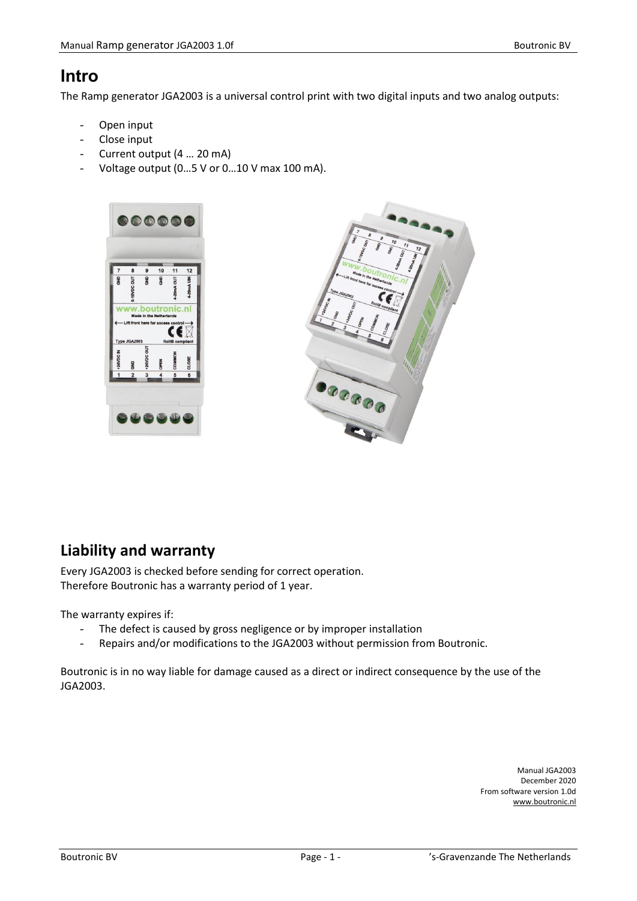## <span id="page-0-0"></span>**Intro**

The Ramp generator JGA2003 is a universal control print with two digital inputs and two analog outputs:

- Open input
- Close input
- Current output (4 … 20 mA)
- Voltage output (0...5 V or 0...10 V max 100 mA).





## <span id="page-0-1"></span>**Liability and warranty**

Every JGA2003 is checked before sending for correct operation. Therefore Boutronic has a warranty period of 1 year.

The warranty expires if:

- The defect is caused by gross negligence or by improper installation
- Repairs and/or modifications to the JGA2003 without permission from Boutronic.

Boutronic is in no way liable for damage caused as a direct or indirect consequence by the use of the JGA2003.

> Manual JGA2003 December 2020 From software version 1.0d www.boutronic.nl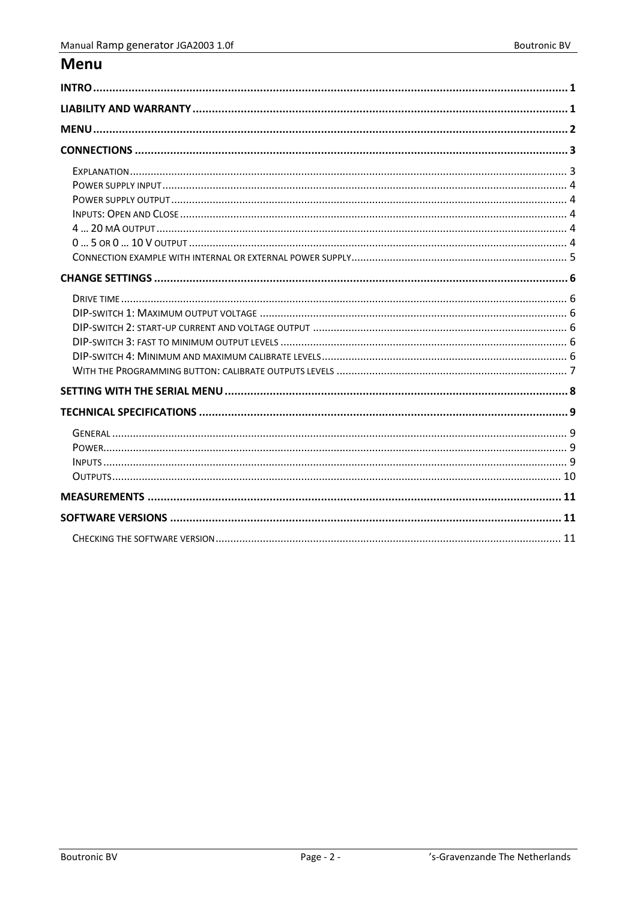## <span id="page-1-0"></span>**Menu**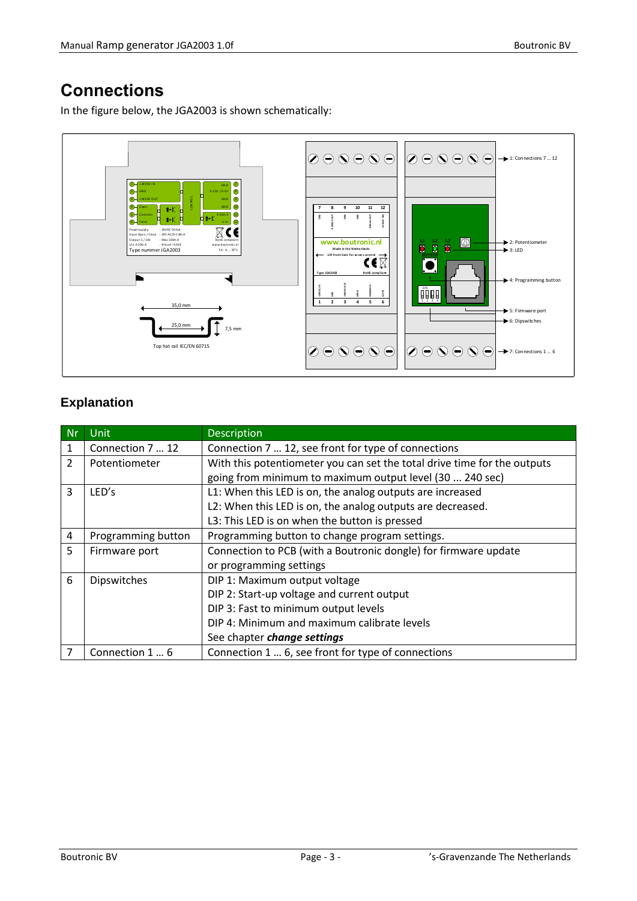# <span id="page-2-0"></span>**Connections**

In the figure below, the JGA2003 is shown schematically:



## <span id="page-2-1"></span>**Explanation**

| <b>Nr</b>      | <b>Unit</b>        | Description                                                              |  |  |  |
|----------------|--------------------|--------------------------------------------------------------------------|--|--|--|
| 1              | Connection 7  12   | Connection 7  12, see front for type of connections                      |  |  |  |
| $\mathfrak{D}$ | Potentiometer      | With this potentiometer you can set the total drive time for the outputs |  |  |  |
|                |                    | going from minimum to maximum output level (30  240 sec)                 |  |  |  |
| 3              | LED's              | L1: When this LED is on, the analog outputs are increased                |  |  |  |
|                |                    | L2: When this LED is on, the analog outputs are decreased.               |  |  |  |
|                |                    | L3: This LED is on when the button is pressed                            |  |  |  |
| 4              | Programming button | Programming button to change program settings.                           |  |  |  |
| 5              | Firmware port      | Connection to PCB (with a Boutronic dongle) for firmware update          |  |  |  |
|                |                    | or programming settings                                                  |  |  |  |
| 6              | Dipswitches        | DIP 1: Maximum output voltage                                            |  |  |  |
|                |                    | DIP 2: Start-up voltage and current output                               |  |  |  |
|                |                    | DIP 3: Fast to minimum output levels                                     |  |  |  |
|                |                    | DIP 4: Minimum and maximum calibrate levels                              |  |  |  |
|                |                    | See chapter change settings                                              |  |  |  |
|                | Connection 1  6    | Connection 1  6, see front for type of connections                       |  |  |  |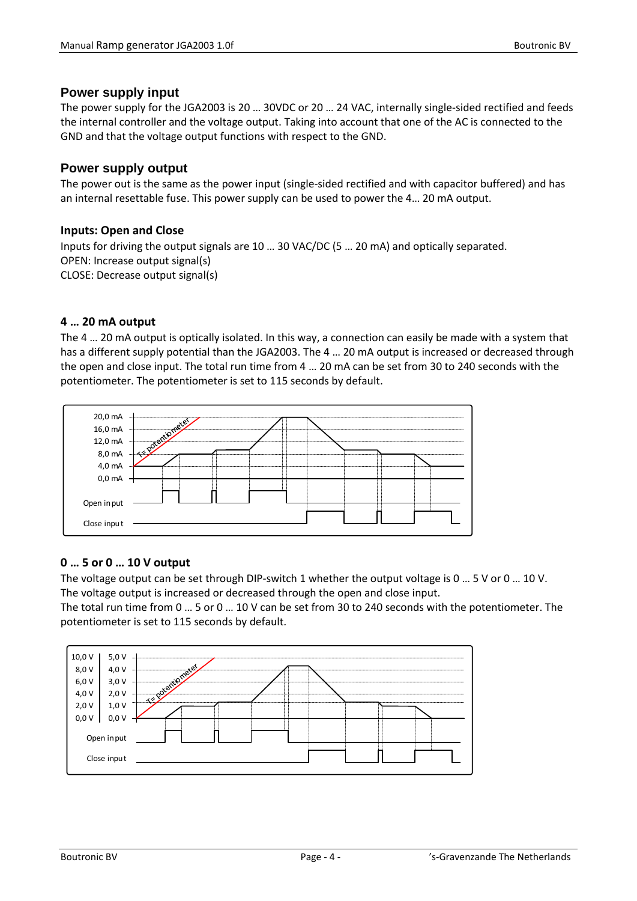#### <span id="page-3-0"></span>**Power supply input**

The power supply for the JGA2003 is 20 … 30VDC or 20 … 24 VAC, internally single-sided rectified and feeds the internal controller and the voltage output. Taking into account that one of the AC is connected to the GND and that the voltage output functions with respect to the GND.

#### <span id="page-3-1"></span>**Power supply output**

The power out is the same as the power input (single-sided rectified and with capacitor buffered) and has an internal resettable fuse. This power supply can be used to power the 4… 20 mA output.

#### <span id="page-3-2"></span>**Inputs: Open and Close**

Inputs for driving the output signals are 10 … 30 VAC/DC (5 … 20 mA) and optically separated. OPEN: Increase output signal(s) CLOSE: Decrease output signal(s)

#### <span id="page-3-3"></span>**4 … 20 mA output**

The 4 … 20 mA output is optically isolated. In this way, a connection can easily be made with a system that has a different supply potential than the JGA2003. The 4 ... 20 mA output is increased or decreased through the open and close input. The total run time from 4 … 20 mA can be set from 30 to 240 seconds with the potentiometer. The potentiometer is set to 115 seconds by default.



#### <span id="page-3-4"></span>**0 … 5 or 0 … 10 V output**

The voltage output can be set through DIP-switch 1 whether the output voltage is 0 … 5 V or 0 … 10 V. The voltage output is increased or decreased through the open and close input.

The total run time from 0 … 5 or 0 … 10 V can be set from 30 to 240 seconds with the potentiometer. The potentiometer is set to 115 seconds by default.

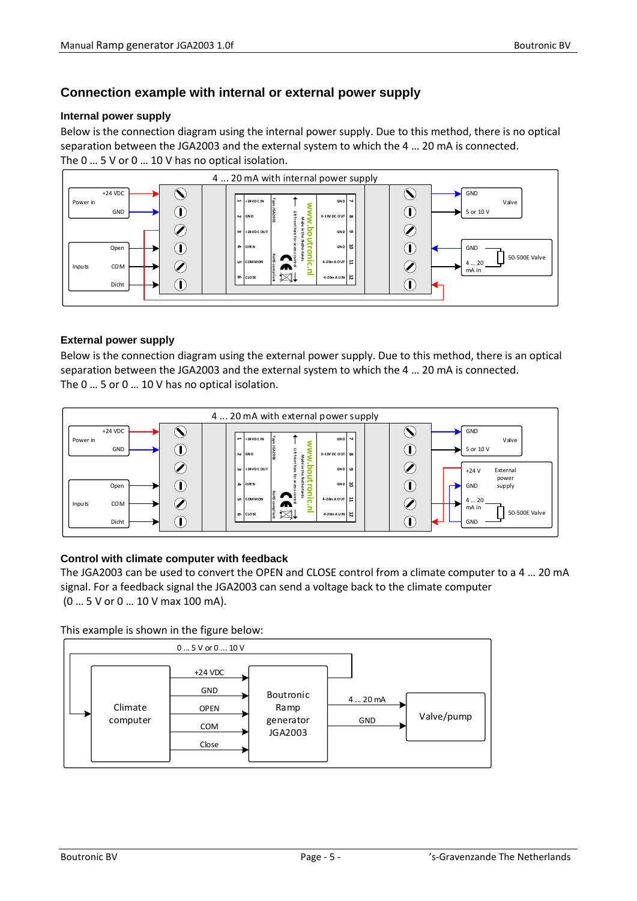### <span id="page-4-0"></span>**Connection example with internal or external power supply**

#### **Internal power supply**

Below is the connection diagram using the internal power supply. Due to this method, there is no optical separation between the JGA2003 and the external system to which the 4 … 20 mA is connected. The 0 ... 5 V or 0 ... 10 V has no optical isolation.



#### **External power supply**

Below is the connection diagram using the external power supply. Due to this method, there is an optical separation between the JGA2003 and the external system to which the 4 … 20 mA is connected. The 0 … 5 or 0 … 10 V has no optical isolation.



#### **Control with climate computer with feedback**

The JGA2003 can be used to convert the OPEN and CLOSE control from a climate computer to a 4 … 20 mA signal. For a feedback signal the JGA2003 can send a voltage back to the climate computer (0 … 5 V or 0 … 10 V max 100 mA).

This example is shown in the figure below:

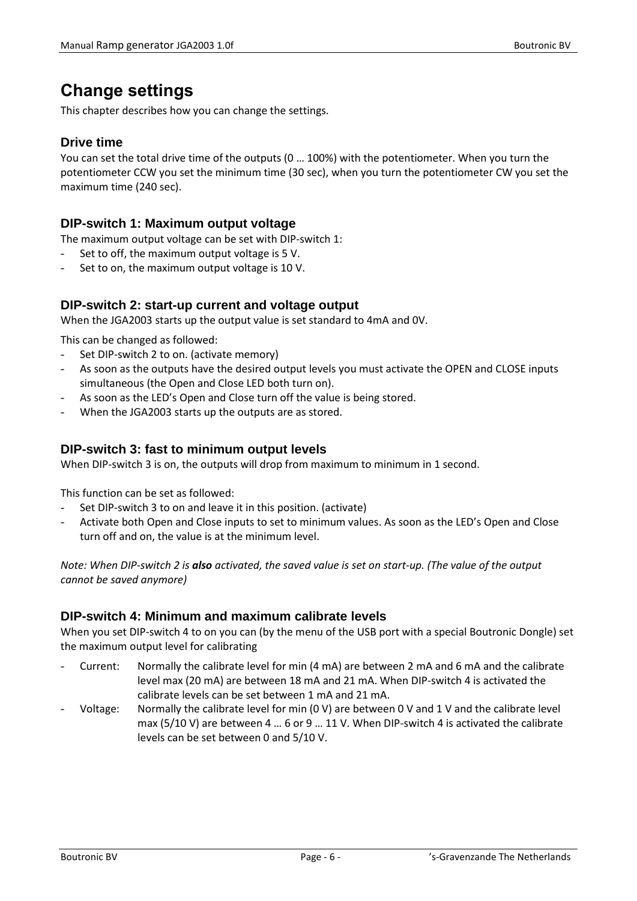# <span id="page-5-0"></span>**Change settings**

<span id="page-5-1"></span>This chapter describes how you can change the settings.

#### **Drive time**

You can set the total drive time of the outputs (0 … 100%) with the potentiometer. When you turn the potentiometer CCW you set the minimum time (30 sec), when you turn the potentiometer CW you set the maximum time (240 sec).

#### <span id="page-5-2"></span>**DIP-switch 1: Maximum output voltage**

The maximum output voltage can be set with DIP-switch 1:

- Set to off, the maximum output voltage is 5 V.
- <span id="page-5-3"></span>Set to on, the maximum output voltage is 10 V.

### **DIP-switch 2: start-up current and voltage output**

When the JGA2003 starts up the output value is set standard to 4mA and 0V.

This can be changed as followed:

- Set DIP-switch 2 to on. (activate memory)
- As soon as the outputs have the desired output levels you must activate the OPEN and CLOSE inputs simultaneous (the Open and Close LED both turn on).
- As soon as the LED's Open and Close turn off the value is being stored.
- When the JGA2003 starts up the outputs are as stored.

### <span id="page-5-4"></span>**DIP-switch 3: fast to minimum output levels**

When DIP-switch 3 is on, the outputs will drop from maximum to minimum in 1 second.

This function can be set as followed:

- Set DIP-switch 3 to on and leave it in this position. (activate)
- Activate both Open and Close inputs to set to minimum values. As soon as the LED's Open and Close turn off and on, the value is at the minimum level.

*Note: When DIP-switch 2 is also activated, the saved value is set on start-up. (The value of the output cannot be saved anymore)*

#### <span id="page-5-5"></span>**DIP-switch 4: Minimum and maximum calibrate levels**

When you set DIP-switch 4 to on you can (by the menu of the USB port with a special Boutronic Dongle) set the maximum output level for calibrating

- Current: Normally the calibrate level for min (4 mA) are between 2 mA and 6 mA and the calibrate level max (20 mA) are between 18 mA and 21 mA. When DIP-switch 4 is activated the calibrate levels can be set between 1 mA and 21 mA.
- Voltage: Normally the calibrate level for min (0 V) are between 0 V and 1 V and the calibrate level max (5/10 V) are between 4 … 6 or 9 … 11 V. When DIP-switch 4 is activated the calibrate levels can be set between 0 and 5/10 V.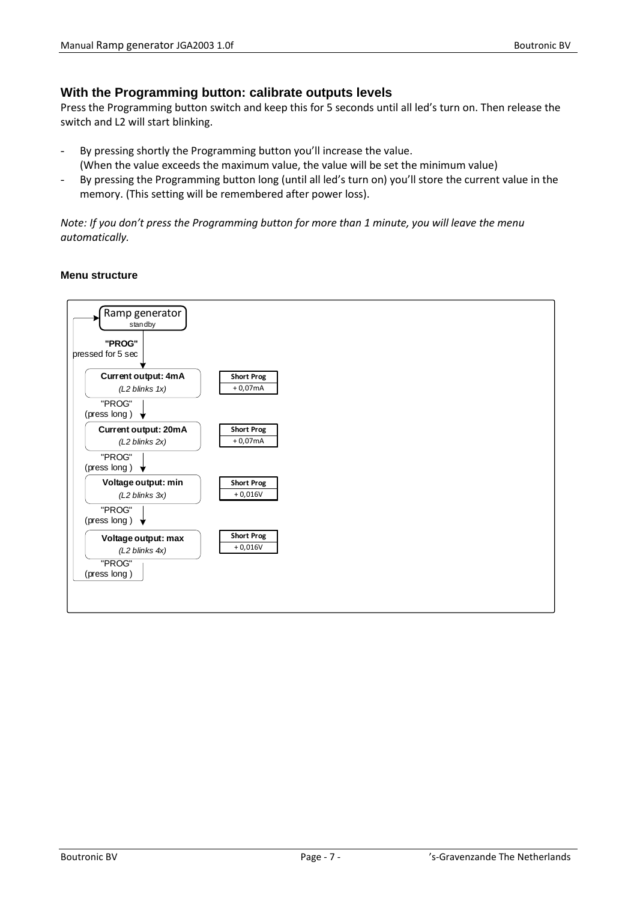#### <span id="page-6-0"></span>**With the Programming button: calibrate outputs levels**

Press the Programming button switch and keep this for 5 seconds until all led's turn on. Then release the switch and L2 will start blinking.

- By pressing shortly the Programming button you'll increase the value. (When the value exceeds the maximum value, the value will be set the minimum value)
- By pressing the Programming button long (until all led's turn on) you'll store the current value in the memory. (This setting will be remembered after power loss).

*Note: If you don't press the Programming button for more than 1 minute, you will leave the menu automatically.*

#### **Menu structure**

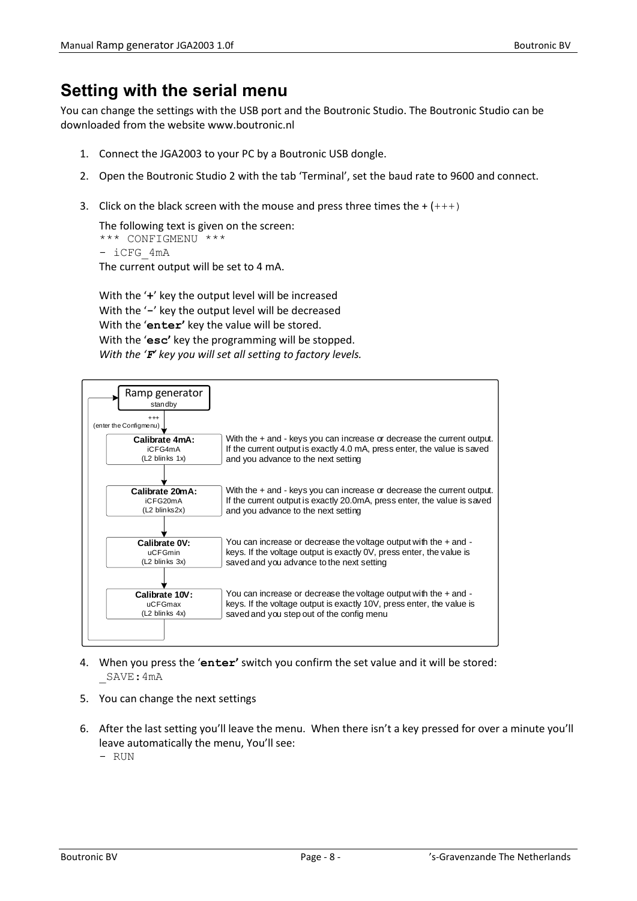# <span id="page-7-0"></span>**Setting with the serial menu**

You can change the settings with the USB port and the Boutronic Studio. The Boutronic Studio can be downloaded from the website www.boutronic.nl

- 1. Connect the JGA2003 to your PC by a Boutronic USB dongle.
- 2. Open the Boutronic Studio 2 with the tab 'Terminal', set the baud rate to 9600 and connect.
- 3. Click on the black screen with the mouse and press three times the  $+$  ( $++$ )

```
The following text is given on the screen:
*** CONFIGMENU ***
- iCFG_4mA
The current output will be set to 4 mA.
```
With the '**+**' key the output level will be increased With the '**-**' key the output level will be decreased With the '**enter'** key the value will be stored. With the '**esc'** key the programming will be stopped. *With the 'F' key you will set all setting to factory levels.*



- 4. When you press the '**enter'** switch you confirm the set value and it will be stored: \_SAVE:4mA
- 5. You can change the next settings
- 6. After the last setting you'll leave the menu. When there isn't a key pressed for over a minute you'll leave automatically the menu, You'll see:
	- RUN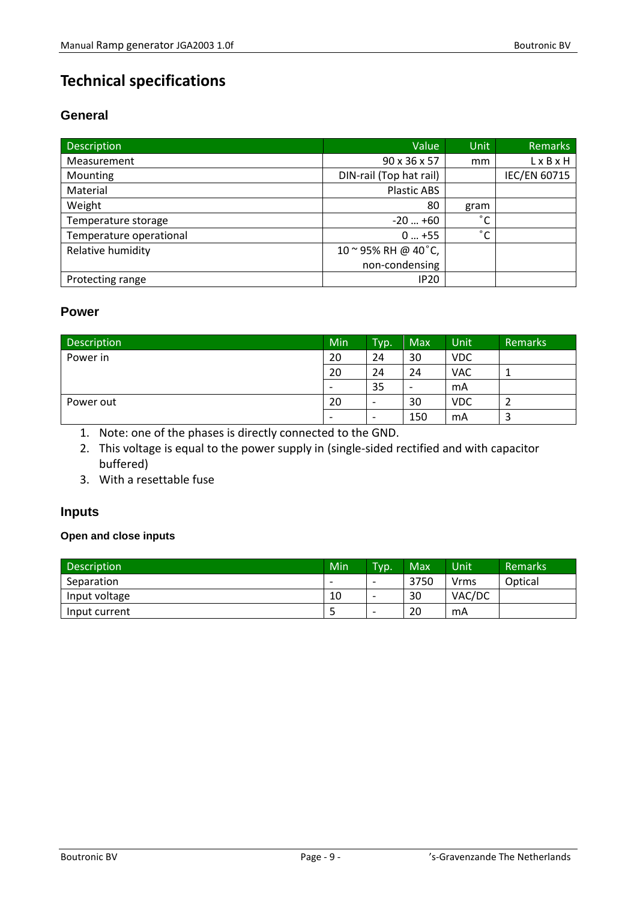# <span id="page-8-0"></span>**Technical specifications**

## <span id="page-8-1"></span>**General**

| <b>Description</b>      | Value                   | <b>Unit</b>       | <b>Remarks</b>      |
|-------------------------|-------------------------|-------------------|---------------------|
| Measurement             | 90 x 36 x 57            | mm                | LxBxH               |
| Mounting                | DIN-rail (Top hat rail) |                   | <b>IEC/EN 60715</b> |
| Material                | <b>Plastic ABS</b>      |                   |                     |
| Weight                  | 80                      | gram              |                     |
| Temperature storage     | $-20+60$                | $^{\circ}$ $\sim$ |                     |
| Temperature operational | $0+55$                  | $^{\circ}$ C      |                     |
| Relative humidity       | 10~95% RH @ 40°C,       |                   |                     |
|                         | non-condensing          |                   |                     |
| Protecting range        | <b>IP20</b>             |                   |                     |

#### <span id="page-8-2"></span>**Power**

| Description | Min                      | Typ.                     | Max                      | Unit       | <b>Remarks</b> |
|-------------|--------------------------|--------------------------|--------------------------|------------|----------------|
| Power in    | 20                       | 24                       | 30                       | <b>VDC</b> |                |
|             | 20                       | 24                       | 24                       | <b>VAC</b> |                |
|             | $\overline{\phantom{0}}$ | 35                       | $\overline{\phantom{0}}$ | mA         |                |
| Power out   | 20                       | $\overline{\phantom{a}}$ | 30                       | <b>VDC</b> |                |
|             |                          | $\overline{\phantom{a}}$ | 150                      | mA         |                |

1. Note: one of the phases is directly connected to the GND.

2. This voltage is equal to the power supply in (single-sided rectified and with capacitor buffered)

3. With a resettable fuse

## <span id="page-8-3"></span>**Inputs**

#### **Open and close inputs**

| <b>Description</b> | Min                      | Typ.                     | Max  | Unit'  | <b>Remarks</b> |
|--------------------|--------------------------|--------------------------|------|--------|----------------|
| Separation         | $\overline{\phantom{0}}$ | $\overline{\phantom{a}}$ | 3750 | Vrms   | Optical        |
| Input voltage      | 10                       | $\overline{\phantom{0}}$ | 30   | VAC/DC |                |
| Input current      |                          | $\overline{\phantom{0}}$ | 20   | mA     |                |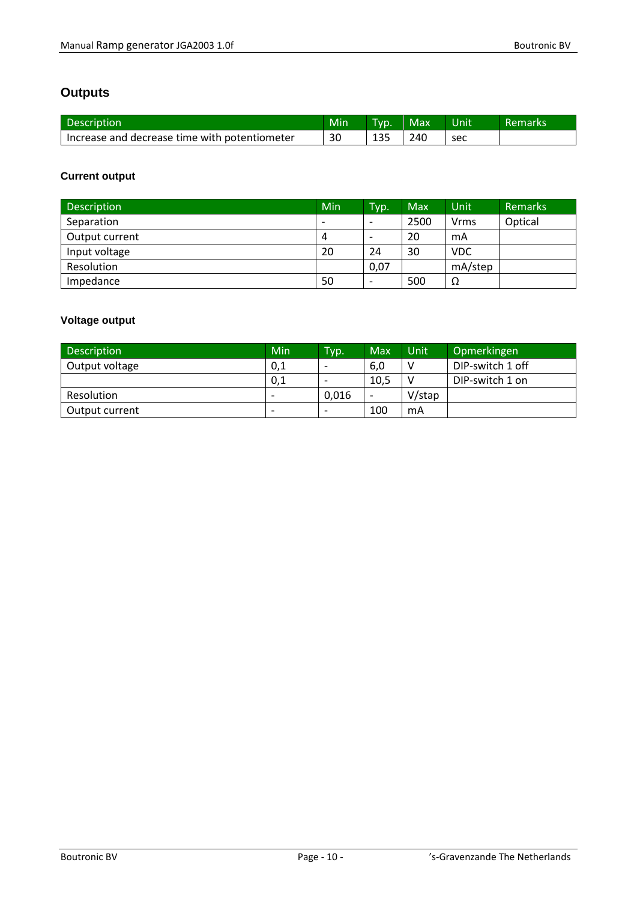## <span id="page-9-0"></span>**Outputs**

| Description                                     | Min | Tvo. | Max | <b>Unit</b> | Remarks |
|-------------------------------------------------|-----|------|-----|-------------|---------|
| l Increase and decrease time with potentiometer |     | 135  | 240 | sec         |         |

## **Current output**

| <b>Description</b> | Min | Typ.                     | Max  | Unit    | <b>Remarks</b> |
|--------------------|-----|--------------------------|------|---------|----------------|
| Separation         | -   | -                        | 2500 | Vrms    | Optical        |
| Output current     | 4   | $\overline{\phantom{0}}$ | 20   | mA      |                |
| Input voltage      | 20  | 24                       | 30   | VDC.    |                |
| Resolution         |     | 0,07                     |      | mA/step |                |
| Impedance          | 50  |                          | 500  | Ω       |                |

## **Voltage output**

| <b>Description</b> | Min                      | Typ.                     | Max  | Unit.  | Opmerkingen      |
|--------------------|--------------------------|--------------------------|------|--------|------------------|
| Output voltage     | 0,1                      | $\overline{\phantom{0}}$ | 6,0  |        | DIP-switch 1 off |
|                    | 0,1                      | $\overline{\phantom{0}}$ | 10,5 |        | DIP-switch 1 on  |
| Resolution         | $\overline{\phantom{0}}$ | 0.016                    | -    | V/stap |                  |
| Output current     | $\overline{\phantom{0}}$ | $\overline{\phantom{0}}$ | 100  | mA     |                  |